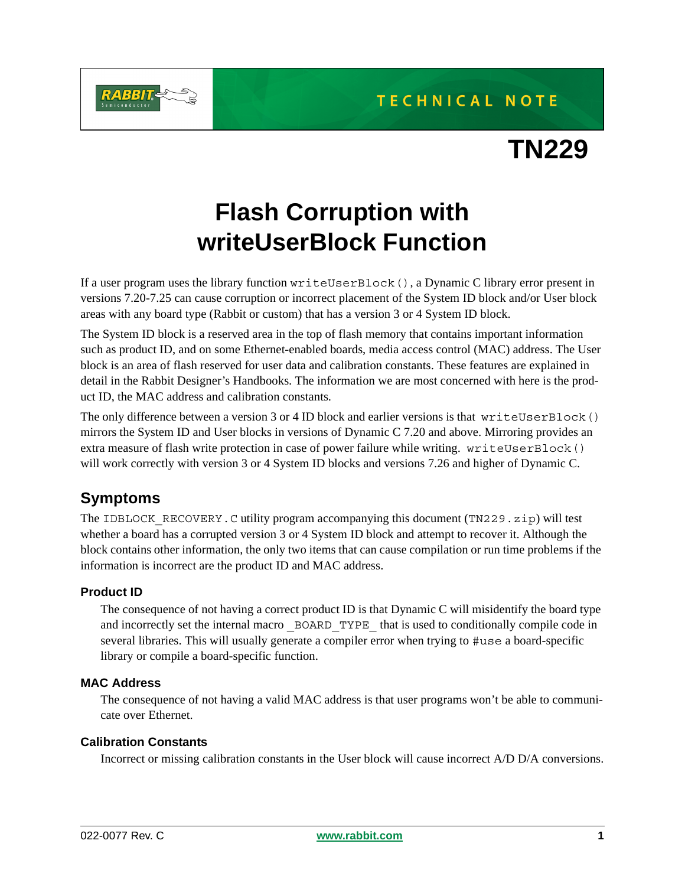



**TN229**

# **Flash Corruption with writeUserBlock Function**

If a user program uses the library function writeUserBlock(), a Dynamic C library error present in versions 7.20-7.25 can cause corruption or incorrect placement of the System ID block and/or User block areas with any board type (Rabbit or custom) that has a version 3 or 4 System ID block.

The System ID block is a reserved area in the top of flash memory that contains important information such as product ID, and on some Ethernet-enabled boards, media access control (MAC) address. The User block is an area of flash reserved for user data and calibration constants. These features are explained in detail in the Rabbit Designer's Handbooks. The information we are most concerned with here is the product ID, the MAC address and calibration constants.

The only difference between a version 3 or 4 ID block and earlier versions is that writeUserBlock() mirrors the System ID and User blocks in versions of Dynamic C 7.20 and above. Mirroring provides an extra measure of flash write protection in case of power failure while writing. writeUserBlock() will work correctly with version 3 or 4 System ID blocks and versions 7.26 and higher of Dynamic C.

# **Symptoms**

The IDBLOCK RECOVERY. C utility program accompanying this document (TN229.zip) will test whether a board has a corrupted version 3 or 4 System ID block and attempt to recover it. Although the block contains other information, the only two items that can cause compilation or run time problems if the information is incorrect are the product ID and MAC address.

#### **Product ID**

The consequence of not having a correct product ID is that Dynamic C will misidentify the board type and incorrectly set the internal macro \_BOARD\_TYPE \_that is used to conditionally compile code in several libraries. This will usually generate a compiler error when trying to #use a board-specific library or compile a board-specific function.

#### **MAC Address**

The consequence of not having a valid MAC address is that user programs won't be able to communicate over Ethernet.

#### **Calibration Constants**

Incorrect or missing calibration constants in the User block will cause incorrect A/D D/A conversions.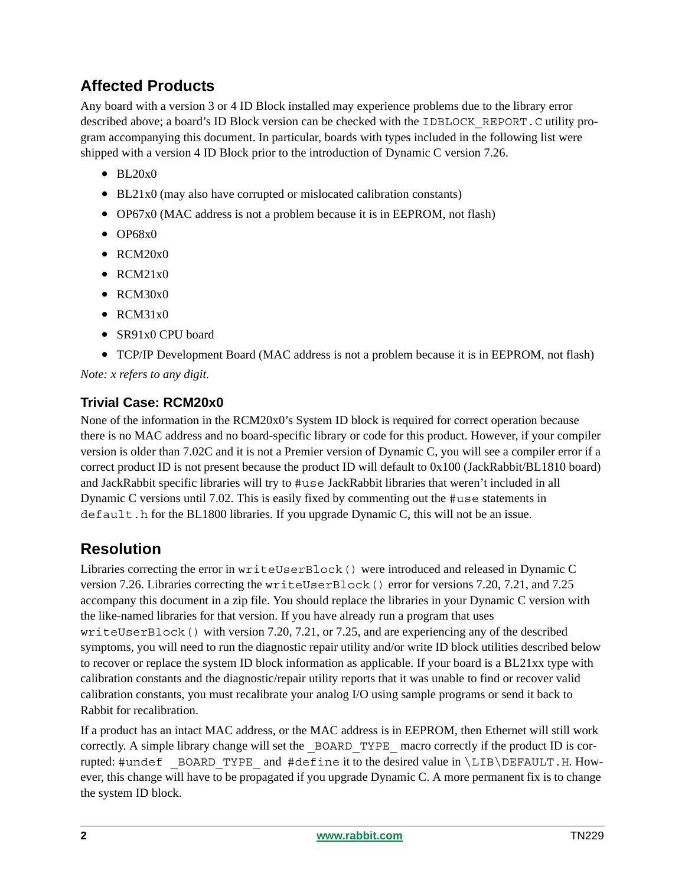# **Affected Products**

Any board with a version 3 or 4 ID Block installed may experience problems due to the library error described above; a board's ID Block version can be checked with the IDBLOCK\_REPORT.C utility program accompanying this document. In particular, boards with types included in the following list were shipped with a version 4 ID Block prior to the introduction of Dynamic C version 7.26.

- BL20x0
- BL21x0 (may also have corrupted or mislocated calibration constants)
- OP67x0 (MAC address is not a problem because it is in EEPROM, not flash)
- OP68x0
- RCM20x0
- RCM21x0
- RCM30x0
- RCM31x0
- SR91x0 CPU board
- TCP/IP Development Board (MAC address is not a problem because it is in EEPROM, not flash)

*Note: x refers to any digit.*

#### **Trivial Case: RCM20x0**

None of the information in the RCM20x0's System ID block is required for correct operation because there is no MAC address and no board-specific library or code for this product. However, if your compiler version is older than 7.02C and it is not a Premier version of Dynamic C, you will see a compiler error if a correct product ID is not present because the product ID will default to 0x100 (JackRabbit/BL1810 board) and JackRabbit specific libraries will try to #use JackRabbit libraries that weren't included in all Dynamic C versions until 7.02. This is easily fixed by commenting out the #use statements in default.h for the BL1800 libraries. If you upgrade Dynamic C, this will not be an issue.

# **Resolution**

Libraries correcting the error in writeUserBlock() were introduced and released in Dynamic C version 7.26. Libraries correcting the writeUserBlock() error for versions 7.20, 7.21, and 7.25 accompany this document in a zip file. You should replace the libraries in your Dynamic C version with the like-named libraries for that version. If you have already run a program that uses writeUserBlock() with version 7.20, 7.21, or 7.25, and are experiencing any of the described symptoms, you will need to run the diagnostic repair utility and/or write ID block utilities described below to recover or replace the system ID block information as applicable. If your board is a BL21xx type with calibration constants and the diagnostic/repair utility reports that it was unable to find or recover valid calibration constants, you must recalibrate your analog I/O using sample programs or send it back to Rabbit for recalibration.

If a product has an intact MAC address, or the MAC address is in EEPROM, then Ethernet will still work correctly. A simple library change will set the \_BOARD\_TYPE\_ macro correctly if the product ID is corrupted: #undef \_BOARD\_TYPE\_ and #define it to the desired value in \LIB\DEFAULT.H. However, this change will have to be propagated if you upgrade Dynamic C. A more permanent fix is to change the system ID block.